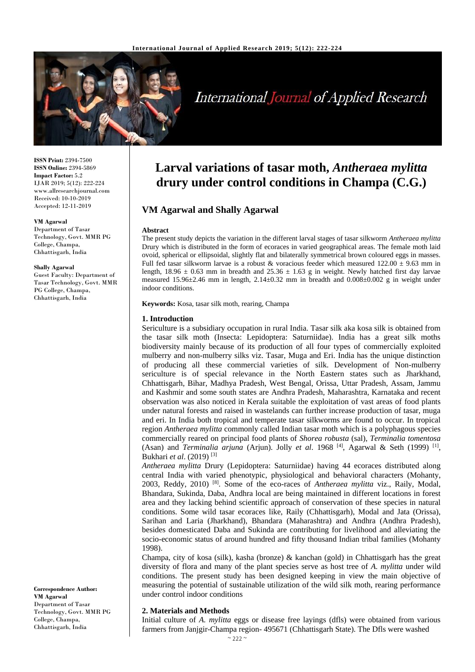

# **International Journal of Applied Research**

**ISSN Print:** 2394-7500 **ISSN Online:** 2394-5869 **Impact Factor:** 5.2 IJAR 2019; 5(12): 222-224 www.allresearchjournal.com Received: 10-10-2019 Accepted: 12-11-2019

#### **VM Agarwal**

Department of Tasar Technology, Govt. MMR PG College, Champa, Chhattisgarh, India

#### **Shally Agarwal**

Guest Faculty: Department of Tasar Technology, Govt. MMR PG College, Champa, Chhattisgarh, India

#### **Correspondence Author: VM Agarwal** Department of Tasar Technology, Govt. MMR PG College, Champa, Chhattisgarh, India

## **Larval variations of tasar moth,** *Antheraea mylitta* **drury under control conditions in Champa (C.G.)**

### **VM Agarwal and Shally Agarwal**

#### **Abstract**

The present study depicts the variation in the different larval stages of tasar silkworm *Antheraea mylitta* Drury which is distributed in the form of ecoraces in varied geographical areas. The female moth laid ovoid, spherical or ellipsoidal, slightly flat and bilaterally symmetrical brown coloured eggs in masses. Full fed tasar silkworm larvae is a robust & voracious feeder which measured  $122.00 \pm 9.63$  mm in length,  $18.96 \pm 0.63$  mm in breadth and  $25.36 \pm 1.63$  g in weight. Newly hatched first day larvae measured  $15.96\pm2.46$  mm in length,  $2.14\pm0.32$  mm in breadth and  $0.008\pm0.002$  g in weight under indoor conditions.

**Keywords:** Kosa, tasar silk moth, rearing, Champa

#### **1. Introduction**

Sericulture is a subsidiary occupation in rural India. Tasar silk aka kosa silk is obtained from the tasar silk moth (Insecta: Lepidoptera: Saturniidae). India has a great silk moths biodiversity mainly because of its production of all four types of commercially exploited mulberry and non-mulberry silks viz. Tasar, Muga and Eri. India has the unique distinction of producing all these commercial varieties of silk. Development of Non-mulberry sericulture is of special relevance in the North Eastern states such as Jharkhand, Chhattisgarh, Bihar, Madhya Pradesh, West Bengal, Orissa, Uttar Pradesh, Assam, Jammu and Kashmir and some south states are Andhra Pradesh, Maharashtra, Karnataka and recent observation was also noticed in Kerala suitable the exploitation of vast areas of food plants under natural forests and raised in wastelands can further increase production of tasar, muga and eri. In India both tropical and temperate tasar silkworms are found to occur. In tropical region *Antheraea mylitta* commonly called Indian tasar moth which is a polyphagous species commercially reared on principal food plants of *Shorea robusta* (sal), *Terminalia tomentosa* (Asan) and *Terminalia arjuna* (Arjun). Jolly *et al*. 1968 [4], Agarwal & Seth (1999) [1] , Bukhari *et al*. (2019) [3]

*Antheraea mylitta* Drury (Lepidoptera: Saturniidae) having 44 ecoraces distributed along central India with varied phenotypic, physiological and behavioral characters (Mohanty, 2003, Reddy, 2010) [8] . Some of the eco-races of *Antheraea mylitta* viz., Raily, Modal, Bhandara, Sukinda, Daba, Andhra local are being maintained in different locations in forest area and they lacking behind scientific approach of conservation of these species in natural conditions. Some wild tasar ecoraces like, Raily (Chhattisgarh), Modal and Jata (Orissa), Sarihan and Laria (Jharkhand), Bhandara (Maharashtra) and Andhra (Andhra Pradesh), besides domesticated Daba and Sukinda are contributing for livelihood and alleviating the socio-economic status of around hundred and fifty thousand Indian tribal families (Mohanty 1998).

Champa, city of kosa (silk), kasha (bronze) & kanchan (gold) in Chhattisgarh has the great diversity of flora and many of the plant species serve as host tree of *A. mylitta* under wild conditions. The present study has been designed keeping in view the main objective of measuring the potential of sustainable utilization of the wild silk moth, rearing performance under control indoor conditions

#### **2. Materials and Methods**

Initial culture of *A. mylitta* eggs or disease free layings (dfls) were obtained from various farmers from Janjgir-Champa region- 495671 (Chhattisgarh State). The Dfls were washed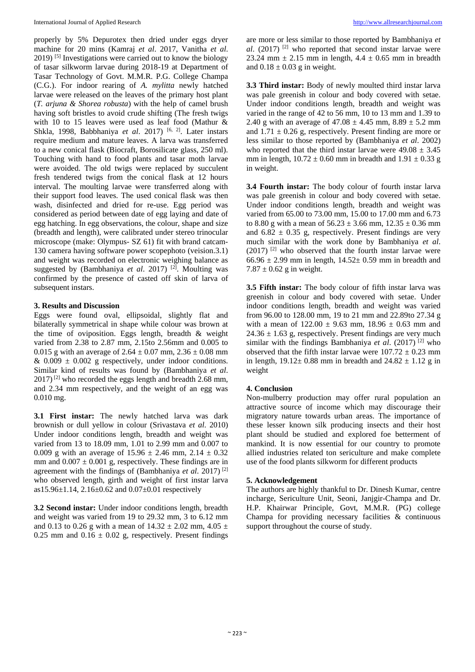properly by 5% Depurotex then dried under eggs dryer machine for 20 mins (Kamraj *et al*. 2017, Vanitha *et al*.  $2019$ <sup>[5]</sup> Investigations were carried out to know the biology of tasar silkworm larvae during 2018-19 at Department of Tasar Technology of Govt. M.M.R. P.G. College Champa (C.G.). For indoor rearing of *A. mylitta* newly hatched larvae were released on the leaves of the primary host plant (*T. arjuna & Shorea robusta*) with the help of camel brush having soft bristles to avoid crude shifting (The fresh twigs with 10 to 15 leaves were used as leaf food (Mathur & Shkla, 1998, Babbhaniya et al. 2017) <sup>[6, 2]</sup>. Later instars require medium and mature leaves. A larva was transferred to a new conical flask (Biocraft, Borosilicate glass, 250 ml). Touching with hand to food plants and tasar moth larvae were avoided. The old twigs were replaced by succulent fresh tendered twigs from the conical flask at 12 hours interval. The moulting larvae were transferred along with their support food leaves. The used conical flask was then wash, disinfected and dried for re-use. Egg period was considered as period between date of egg laying and date of egg hatching. In egg observations, the colour, shape and size (breadth and length), were calibrated under stereo trinocular microscope (make: Olympus- SZ 61) fit with brand catcam-130 camera having software power scopephoto (veision.3.1) and weight was recorded on electronic weighing balance as suggested by (Bambhaniya *et al.* 2017)<sup>[2]</sup>. Moulting was confirmed by the presence of casted off skin of larva of subsequent instars.

#### **3. Results and Discussion**

Eggs were found oval, ellipsoidal, slightly flat and bilaterally symmetrical in shape while colour was brown at the time of oviposition. Eggs length, breadth & weight varied from 2.38 to 2.87 mm, 2.15to 2.56mm and 0.005 to 0.015 g with an average of  $2.64 \pm 0.07$  mm,  $2.36 \pm 0.08$  mm  $& 0.009 \pm 0.002$  g respectively, under indoor conditions. Similar kind of results was found by (Bambhaniya *et al*.  $2017$ <sup>[2]</sup> who recorded the eggs length and breadth 2.68 mm, and 2.34 mm respectively, and the weight of an egg was 0.010 mg.

**3.1 First instar:** The newly hatched larva was dark brownish or dull yellow in colour (Srivastava *et al*. 2010) Under indoor conditions length, breadth and weight was varied from 13 to 18.09 mm, 1.01 to 2.99 mm and 0.007 to 0.009 g with an average of  $15.96 \pm 2.46$  mm,  $2.14 \pm 0.32$ mm and  $0.007 \pm 0.001$  g, respectively. These findings are in agreement with the findings of (Bambhaniya *et al*. 2017) [2] who observed length, girth and weight of first instar larva as15.96 $\pm$ 1.14, 2.16 $\pm$ 0.62 and 0.07 $\pm$ 0.01 respectively

**3.2 Second instar:** Under indoor conditions length, breadth and weight was varied from 19 to 29.32 mm, 3 to 6.12 mm and 0.13 to 0.26 g with a mean of  $14.32 \pm 2.02$  mm,  $4.05 \pm 1.02$ 0.25 mm and  $0.16 \pm 0.02$  g, respectively. Present findings are more or less similar to those reported by Bambhaniya *et al*. (2017) [2] who reported that second instar larvae were 23.24 mm  $\pm$  2.15 mm in length, 4.4  $\pm$  0.65 mm in breadth and  $0.18 \pm 0.03$  g in weight.

**3.3 Third instar:** Body of newly moulted third instar larva was pale greenish in colour and body covered with setae. Under indoor conditions length, breadth and weight was varied in the range of 42 to 56 mm, 10 to 13 mm and 1.39 to 2.40 g with an average of  $47.08 \pm 4.45$  mm,  $8.89 \pm 5.2$  mm and  $1.71 \pm 0.26$  g, respectively. Present finding are more or less similar to those reported by (Bambhaniya *et al*. 2002) who reported that the third instar larvae were  $49.08 \pm 3.45$ mm in length,  $10.72 \pm 0.60$  mm in breadth and  $1.91 \pm 0.33$  g in weight.

**3.4 Fourth instar:** The body colour of fourth instar larva was pale greenish in colour and body covered with setae. Under indoor conditions length, breadth and weight was varied from 65.00 to 73.00 mm, 15.00 to 17.00 mm and 6.73 to 8.80 g with a mean of  $56.23 \pm 3.66$  mm,  $12.35 \pm 0.36$  mm and  $6.82 \pm 0.35$  g, respectively. Present findings are very much similar with the work done by Bambhaniya *et al*.  $(2017)$  <sup>[2]</sup> who observed that the fourth instar larvae were  $66.96 \pm 2.99$  mm in length,  $14.52 \pm 0.59$  mm in breadth and  $7.87 \pm 0.62$  g in weight.

**3.5 Fifth instar:** The body colour of fifth instar larva was greenish in colour and body covered with setae. Under indoor conditions length, breadth and weight was varied from 96.00 to 128.00 mm, 19 to 21 mm and 22.89to 27.34 g with a mean of  $122.00 \pm 9.63$  mm,  $18.96 \pm 0.63$  mm and  $24.36 \pm 1.63$  g, respectively. Present findings are very much similar with the findings Bambhaniya *et al*. (2017) [2] who observed that the fifth instar larvae were  $107.72 \pm 0.23$  mm in length,  $19.12 \pm 0.88$  mm in breadth and  $24.82 \pm 1.12$  g in weight

#### **4. Conclusion**

Non-mulberry production may offer rural population an attractive source of income which may discourage their migratory nature towards urban areas. The importance of these lesser known silk producing insects and their host plant should be studied and explored foe betterment of mankind. It is now essential for our country to promote allied industries related ton sericulture and make complete use of the food plants silkworm for different products

#### **5. Acknowledgement**

The authors are highly thankful to Dr. Dinesh Kumar, centre incharge, Sericulture Unit, Seoni, Janjgir-Champa and Dr. H.P. Khairwar Principle, Govt, M.M.R. (PG) college Champa for providing necessary facilities & continuous support throughout the course of study.